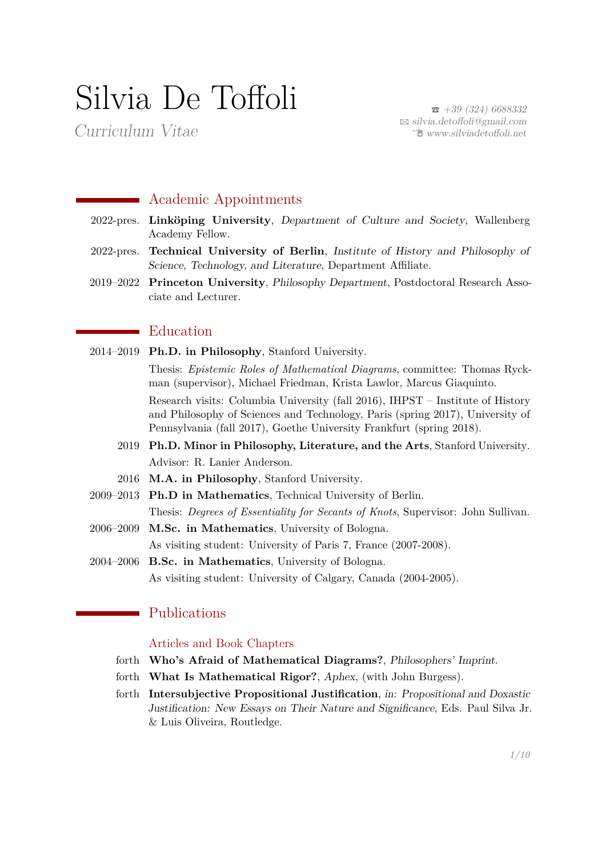# Silvia De Toffoli

Curriculum Vitae

 $\bar{a}$  [+39 \(324\) 6688332](tel:+393246688332)  $\boxtimes$  [silvia.detoffoli@gmail.com](mailto:silvia.detoffoli@gmail.com)  $\hat{\mathbb{E}}$  [www.silviadetoffoli.net](https://www.silviadetoffoli.net)

# **Academic Appointments**

- 2022-pres. **Linköping University**, Department of Culture and Society, Wallenberg Academy Fellow.
- 2022-pres. **Technical University of Berlin**, Institute of History and Philosophy of Science, Technology, and Literature, Department Affiliate.
- 2019–2022 **Princeton University**, Philosophy Department, Postdoctoral Research Associate and Lecturer.

# **E**ducation

- 2014–2019 **Ph.D. in Philosophy**, Stanford University. Thesis: *Epistemic Roles of Mathematical Diagrams*, committee: Thomas Ryckman (supervisor), Michael Friedman, Krista Lawlor, Marcus Giaquinto. Research visits: Columbia University (fall 2016), IHPST – Institute of History and Philosophy of Sciences and Technology, Paris (spring 2017), University of Pennsylvania (fall 2017), Goethe University Frankfurt (spring 2018). 2019 **Ph.D. Minor in Philosophy, Literature, and the Arts**, Stanford University. Advisor: R. Lanier Anderson.
	- 2016 **M.A. in Philosophy**, Stanford University.
- 2009–2013 **Ph.D in Mathematics**, Technical University of Berlin. Thesis: *Degrees of Essentiality for Secants of Knots*, Supervisor: John Sullivan.
- 2006–2009 **M.Sc. in Mathematics**, University of Bologna. As visiting student: University of Paris 7, France (2007-2008).
- 2004–2006 **B.Sc. in Mathematics**, University of Bologna. As visiting student: University of Calgary, Canada (2004-2005).

# Publications

## Articles and Book Chapters

- forth **Who's Afraid of Mathematical Diagrams?**, Philosophers' Imprint.
- forth **What Is Mathematical Rigor?**, Aphex, (with John Burgess).
- forth **Intersubjective Propositional Justification**, in: Propositional and Doxastic Justification: New Essays on Their Nature and Significance, Eds. Paul Silva Jr. & Luis Oliveira, Routledge.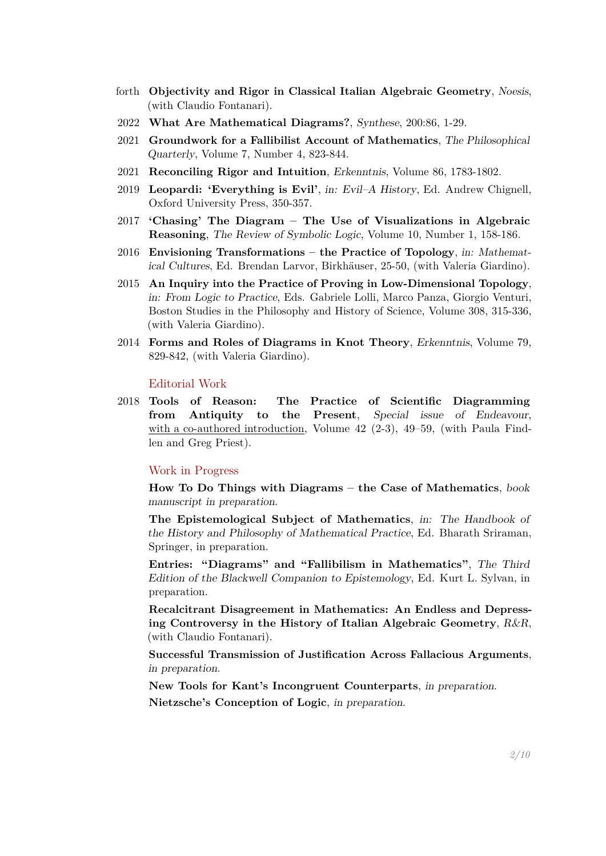- forth **Objectivity and Rigor in Classical Italian Algebraic Geometry**, Noesis, (with Claudio Fontanari).
- 2022 **What Are Mathematical Diagrams?**, Synthese, 200:86, 1-29.
- 2021 **Groundwork for a Fallibilist Account of Mathematics**, The Philosophical Quarterly, Volume 7, Number 4, 823-844.
- 2021 **Reconciling Rigor and Intuition**, Erkenntnis, Volume 86, 1783-1802.
- 2019 **Leopardi: 'Everything is Evil'**, in: Evil–A History, Ed. Andrew Chignell, Oxford University Press, 350-357.
- 2017 **'Chasing' The Diagram The Use of Visualizations in Algebraic Reasoning**, The Review of Symbolic Logic, Volume 10, Number 1, 158-186.
- 2016 **Envisioning Transformations the Practice of Topology**, in: Mathematical Cultures, Ed. Brendan Larvor, Birkhäuser, 25-50, (with Valeria Giardino).
- 2015 **An Inquiry into the Practice of Proving in Low-Dimensional Topology**, in: From Logic to Practice, Eds. Gabriele Lolli, Marco Panza, Giorgio Venturi, Boston Studies in the Philosophy and History of Science, Volume 308, 315-336, (with Valeria Giardino).
- 2014 **Forms and Roles of Diagrams in Knot Theory**, Erkenntnis, Volume 79, 829-842, (with Valeria Giardino).

#### Editorial Work

2018 **Tools of Reason: The Practice of Scientific Diagramming from Antiquity to the Present**, Special issue of Endeavour, with a co-authored introduction, Volume  $42$  (2-3),  $49-59$ , (with Paula Findlen and Greg Priest).

#### Work in Progress

**How To Do Things with Diagrams – the Case of Mathematics**, book manuscript in preparation.

**The Epistemological Subject of Mathematics**, in: The Handbook of the History and Philosophy of Mathematical Practice, Ed. Bharath Sriraman, Springer, in preparation.

**Entries: "Diagrams" and "Fallibilism in Mathematics"**, The Third Edition of the Blackwell Companion to Epistemology, Ed. Kurt L. Sylvan, in preparation.

**Recalcitrant Disagreement in Mathematics: An Endless and Depressing Controversy in the History of Italian Algebraic Geometry**, R&R, (with Claudio Fontanari).

**Successful Transmission of Justification Across Fallacious Arguments**, in preparation.

**New Tools for Kant's Incongruent Counterparts**, in preparation. **Nietzsche's Conception of Logic**, in preparation.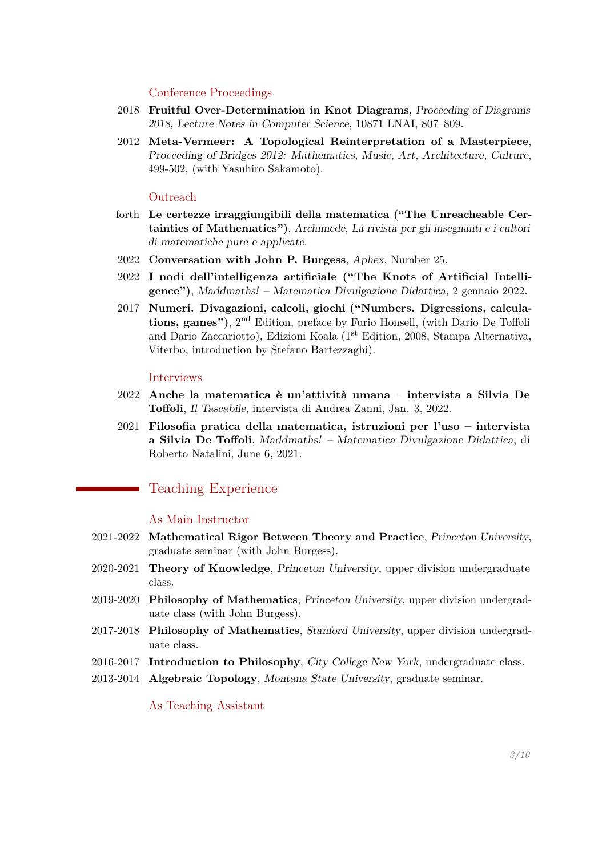#### Conference Proceedings

- 2018 **Fruitful Over-Determination in Knot Diagrams**, Proceeding of Diagrams 2018, Lecture Notes in Computer Science, 10871 LNAI, 807–809.
- 2012 **Meta-Vermeer: A Topological Reinterpretation of a Masterpiece**, Proceeding of Bridges 2012: Mathematics, Music, Art, Architecture, Culture, 499-502, (with Yasuhiro Sakamoto).

## **Outreach**

- forth **Le certezze irraggiungibili della matematica ("The Unreacheable Certainties of Mathematics")**, Archimede, La rivista per gli insegnanti e i cultori di matematiche pure e applicate.
- 2022 **Conversation with John P. Burgess**, Aphex, Number 25.
- 2022 **I nodi dell'intelligenza artificiale ("The Knots of Artificial Intelligence")**, Maddmaths! – Matematica Divulgazione Didattica, 2 gennaio 2022.
- 2017 **Numeri. Divagazioni, calcoli, giochi ("Numbers. Digressions, calculations, games")**, 2nd Edition, preface by Furio Honsell, (with Dario De Toffoli and Dario Zaccariotto), Edizioni Koala (1st Edition, 2008, Stampa Alternativa, Viterbo, introduction by Stefano Bartezzaghi).

#### Interviews

- 2022 **Anche la matematica è un'attività umana intervista a Silvia De Toffoli**, Il Tascabile, intervista di Andrea Zanni, Jan. 3, 2022.
- 2021 **Filosofia pratica della matematica, istruzioni per l'uso intervista a Silvia De Toffoli**, Maddmaths! – Matematica Divulgazione Didattica, di Roberto Natalini, June 6, 2021.

# Teaching Experience

#### As Main Instructor

- 2021-2022 **Mathematical Rigor Between Theory and Practice**, Princeton University, graduate seminar (with John Burgess).
- 2020-2021 **Theory of Knowledge**, Princeton University, upper division undergraduate class.
- 2019-2020 **Philosophy of Mathematics**, Princeton University, upper division undergraduate class (with John Burgess).
- 2017-2018 **Philosophy of Mathematics**, Stanford University, upper division undergraduate class.
- 2016-2017 **Introduction to Philosophy**, City College New York, undergraduate class.
- 2013-2014 **Algebraic Topology**, Montana State University, graduate seminar.

As Teaching Assistant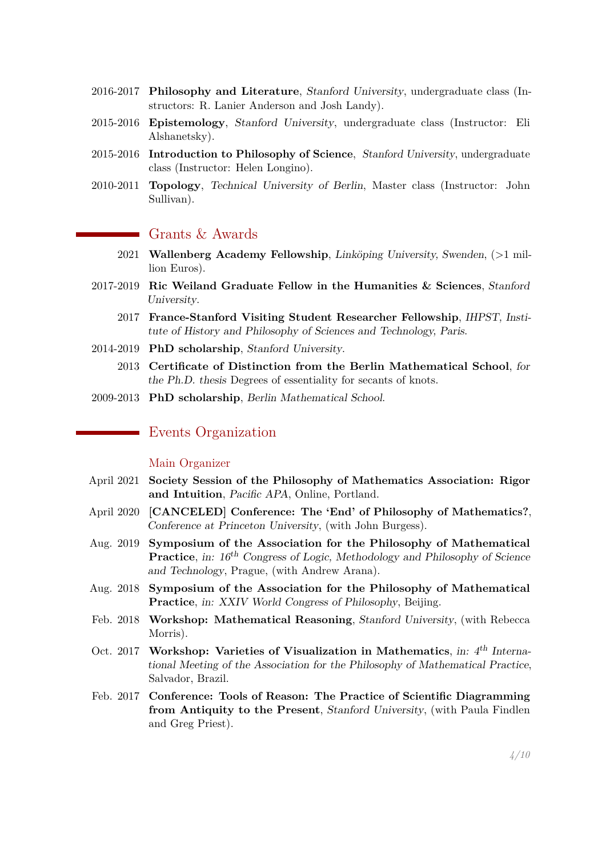- 2016-2017 **Philosophy and Literature**, Stanford University, undergraduate class (Instructors: R. Lanier Anderson and Josh Landy).
- 2015-2016 **Epistemology**, Stanford University, undergraduate class (Instructor: Eli Alshanetsky).
- 2015-2016 **Introduction to Philosophy of Science**, Stanford University, undergraduate class (Instructor: Helen Longino).
- 2010-2011 **Topology**, Technical University of Berlin, Master class (Instructor: John Sullivan).

# Grants & Awards

- 2021 **Wallenberg Academy Fellowship**, Linköping University, Swenden, (>1 million Euros).
- 2017-2019 **Ric Weiland Graduate Fellow in the Humanities & Sciences**, Stanford University.
	- 2017 **France-Stanford Visiting Student Researcher Fellowship**, IHPST, Institute of History and Philosophy of Sciences and Technology, Paris.
- 2014-2019 **PhD scholarship**, Stanford University.
	- 2013 **Certificate of Distinction from the Berlin Mathematical School**, for the Ph.D. thesis Degrees of essentiality for secants of knots.
- 2009-2013 **PhD scholarship**, Berlin Mathematical School.

# Events Organization

#### Main Organizer

- April 2021 **Society Session of the Philosophy of Mathematics Association: Rigor and Intuition**, Pacific APA, Online, Portland.
- April 2020 **[CANCELED] Conference: The 'End' of Philosophy of Mathematics?**, Conference at Princeton University, (with John Burgess).
- Aug. 2019 **Symposium of the Association for the Philosophy of Mathematical Practice**, in:  $16^{th}$  Congress of Logic, Methodology and Philosophy of Science and Technology, Prague, (with Andrew Arana).
- Aug. 2018 **Symposium of the Association for the Philosophy of Mathematical Practice**, in: XXIV World Congress of Philosophy, Beijing.
- Feb. 2018 **Workshop: Mathematical Reasoning**, Stanford University, (with Rebecca Morris).
- Oct. 2017 **Workshop: Varieties of Visualization in Mathematics**, in: 4<sup>th</sup> International Meeting of the Association for the Philosophy of Mathematical Practice, Salvador, Brazil.
- Feb. 2017 **Conference: Tools of Reason: The Practice of Scientific Diagramming from Antiquity to the Present**, Stanford University, (with Paula Findlen and Greg Priest).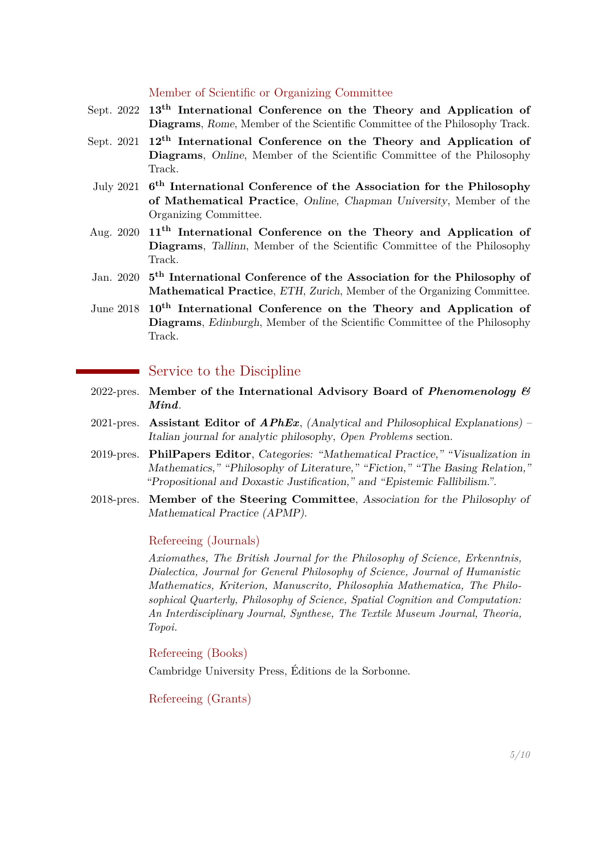# Member of Scientific or Organizing Committee

- Sept. 2022 **13th International Conference on the Theory and Application of Diagrams**, Rome, Member of the Scientific Committee of the Philosophy Track.
- Sept. 2021 **12th International Conference on the Theory and Application of Diagrams**, Online, Member of the Scientific Committee of the Philosophy Track.
- July 2021 **6 th International Conference of the Association for the Philosophy of Mathematical Practice**, Online, Chapman University, Member of the Organizing Committee.
- Aug. 2020 **11th International Conference on the Theory and Application of Diagrams**, Tallinn, Member of the Scientific Committee of the Philosophy Track.
- Jan. 2020 **5 th International Conference of the Association for the Philosophy of Mathematical Practice**, ETH, Zurich, Member of the Organizing Committee.
- June 2018 **10th International Conference on the Theory and Application of Diagrams**, Edinburgh, Member of the Scientific Committee of the Philosophy Track.

# Service to the Discipline

- 2022-pres. **Member of the International Advisory Board of** *Phenomenology & Mind*.
- 2021-pres. **Assistant Editor of** *APhEx*, (Analytical and Philosophical Explanations) Italian journal for analytic philosophy, *Open Problems* section.
- 2019-pres. **PhilPapers Editor**, Categories: "Mathematical Practice," "Visualization in Mathematics," "Philosophy of Literature," "Fiction," "The Basing Relation," "Propositional and Doxastic Justification," and "Epistemic Fallibilism.".
- 2018-pres. **Member of the Steering Committee**, Association for the Philosophy of Mathematical Practice (APMP).

#### Refereeing (Journals)

*Axiomathes, The British Journal for the Philosophy of Science, Erkenntnis, Dialectica, Journal for General Philosophy of Science, Journal of Humanistic Mathematics, Kriterion, Manuscrito, Philosophia Mathematica, The Philosophical Quarterly, Philosophy of Science, Spatial Cognition and Computation: An Interdisciplinary Journal, Synthese, The Textile Museum Journal, Theoria, Topoi.*

## Refereeing (Books)

Cambridge University Press, Éditions de la Sorbonne.

Refereeing (Grants)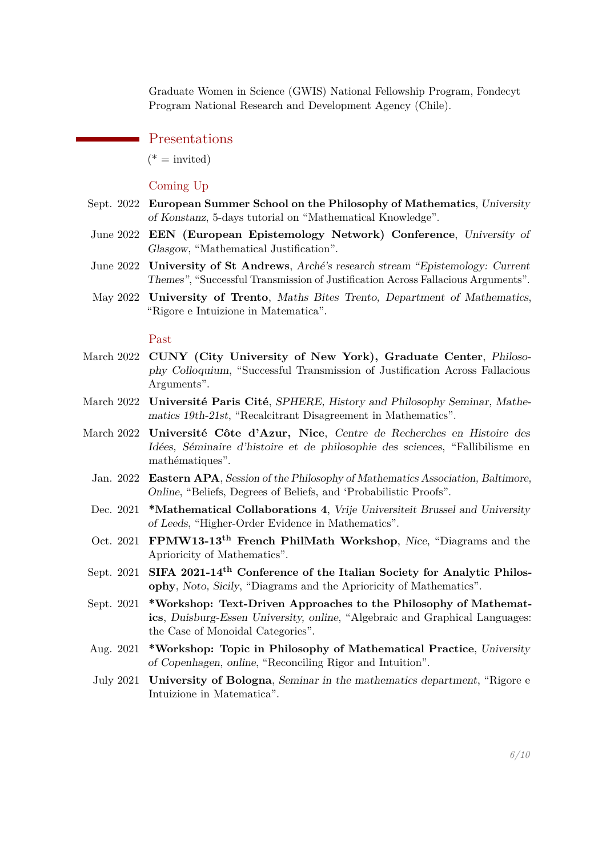Graduate Women in Science (GWIS) National Fellowship Program, Fondecyt Program National Research and Development Agency (Chile).

#### Presentations

 $(*)$  = invited)

# Coming Up

- Sept. 2022 **European Summer School on the Philosophy of Mathematics**, University of Konstanz, 5-days tutorial on "Mathematical Knowledge".
- June 2022 **EEN (European Epistemology Network) Conference**, University of Glasgow, "Mathematical Justification".
- June 2022 **University of St Andrews**, Arché's research stream "Epistemology: Current Themes", "Successful Transmission of Justification Across Fallacious Arguments".
- May 2022 **University of Trento**, Maths Bites Trento, Department of Mathematics, "Rigore e Intuizione in Matematica".

#### Past

- March 2022 **CUNY (City University of New York), Graduate Center**, Philosophy Colloquium, "Successful Transmission of Justification Across Fallacious Arguments".
- March 2022 **Université Paris Cité**, SPHERE, History and Philosophy Seminar, Mathematics 19th-21st, "Recalcitrant Disagreement in Mathematics".
- March 2022 **Université Côte d'Azur, Nice**, Centre de Recherches en Histoire des Idées, Séminaire d'histoire et de philosophie des sciences, "Fallibilisme en mathématiques".
	- Jan. 2022 **Eastern APA**, Session of the Philosophy of Mathematics Association, Baltimore, Online, "Beliefs, Degrees of Beliefs, and 'Probabilistic Proofs".
	- Dec. 2021 **\*Mathematical Collaborations 4**, Vrije Universiteit Brussel and University of Leeds, "Higher-Order Evidence in Mathematics".
	- Oct. 2021 **FPMW13-13th French PhilMath Workshop**, Nice, "Diagrams and the Aprioricity of Mathematics".
- Sept. 2021 **SIFA 2021-14th Conference of the Italian Society for Analytic Philosophy**, Noto, Sicily, "Diagrams and the Aprioricity of Mathematics".
- Sept. 2021 **\*Workshop: Text-Driven Approaches to the Philosophy of Mathematics**, Duisburg-Essen University, online, "Algebraic and Graphical Languages: the Case of Monoidal Categories".
- Aug. 2021 **\*Workshop: Topic in Philosophy of Mathematical Practice**, University of Copenhagen, online, "Reconciling Rigor and Intuition".
- July 2021 **University of Bologna**, Seminar in the mathematics department, "Rigore e Intuizione in Matematica".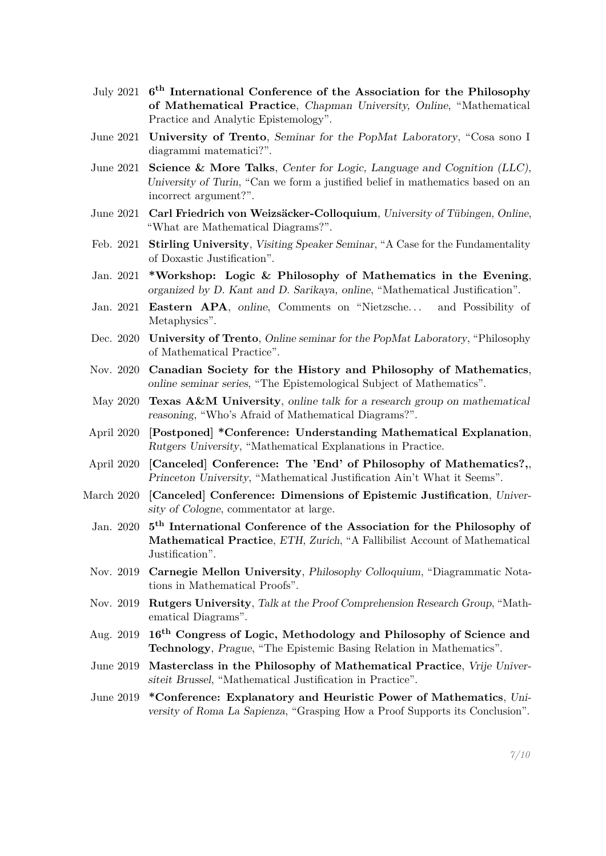- July 2021 **6 th International Conference of the Association for the Philosophy of Mathematical Practice**, Chapman University, Online, "Mathematical Practice and Analytic Epistemology".
- June 2021 **University of Trento**, Seminar for the PopMat Laboratory, "Cosa sono I diagrammi matematici?".
- June 2021 **Science & More Talks**, Center for Logic, Language and Cognition (LLC), University of Turin, "Can we form a justified belief in mathematics based on an incorrect argument?".
- June 2021 **Carl Friedrich von Weizsäcker-Colloquium**, University of Tübingen, Online, "What are Mathematical Diagrams?".
- Feb. 2021 **Stirling University**, Visiting Speaker Seminar, "A Case for the Fundamentality of Doxastic Justification".
- Jan. 2021 **\*Workshop: Logic & Philosophy of Mathematics in the Evening**, organized by D. Kant and D. Sarikaya, online, "Mathematical Justification".
- Jan. 2021 **Eastern APA**, online, Comments on "Nietzsche... and Possibility of Metaphysics".
- Dec. 2020 **University of Trento**, Online seminar for the PopMat Laboratory, "Philosophy of Mathematical Practice".
- Nov. 2020 **Canadian Society for the History and Philosophy of Mathematics**, online seminar series, "The Epistemological Subject of Mathematics".
- May 2020 **Texas A&M University**, online talk for a research group on mathematical reasoning, "Who's Afraid of Mathematical Diagrams?".
- April 2020 **[Postponed] \*Conference: Understanding Mathematical Explanation**, Rutgers University, "Mathematical Explanations in Practice.
- April 2020 **[Canceled] Conference: The 'End' of Philosophy of Mathematics?,**, Princeton University, "Mathematical Justification Ain't What it Seems".
- March 2020 **[Canceled] Conference: Dimensions of Epistemic Justification**, University of Cologne, commentator at large.
	- Jan. 2020 **5 th International Conference of the Association for the Philosophy of Mathematical Practice**, ETH, Zurich, "A Fallibilist Account of Mathematical Justification".
	- Nov. 2019 **Carnegie Mellon University**, Philosophy Colloquium, "Diagrammatic Notations in Mathematical Proofs".
	- Nov. 2019 **Rutgers University**, Talk at the Proof Comprehension Research Group, "Mathematical Diagrams".
	- Aug. 2019 **16th Congress of Logic, Methodology and Philosophy of Science and Technology**, Prague, "The Epistemic Basing Relation in Mathematics".
	- June 2019 **Masterclass in the Philosophy of Mathematical Practice**, Vrije Universiteit Brussel, "Mathematical Justification in Practice".
	- June 2019 **\*Conference: Explanatory and Heuristic Power of Mathematics**, University of Roma La Sapienza, "Grasping How a Proof Supports its Conclusion".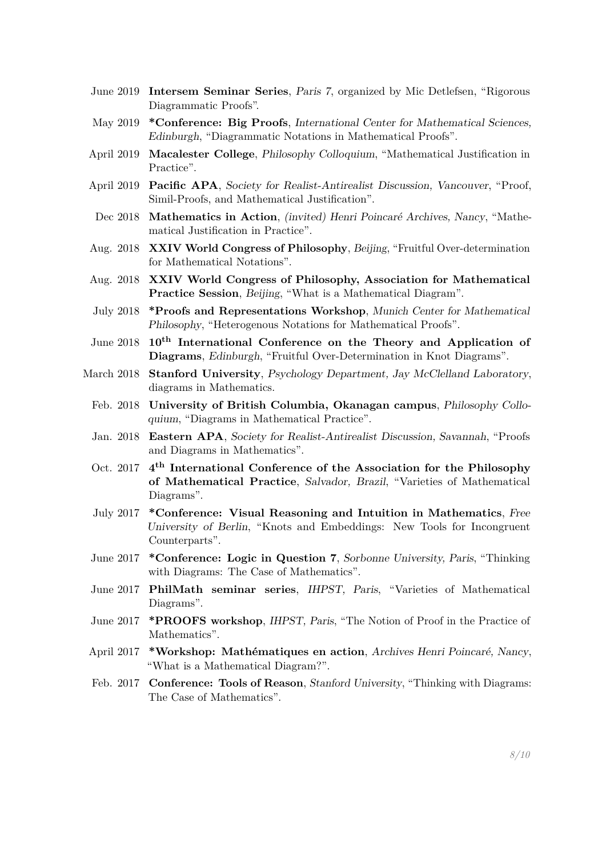- June 2019 **Intersem Seminar Series**, Paris 7, organized by Mic Detlefsen, "Rigorous Diagrammatic Proofs".
- May 2019 **\*Conference: Big Proofs**, International Center for Mathematical Sciences, Edinburgh, "Diagrammatic Notations in Mathematical Proofs".
- April 2019 **Macalester College**, Philosophy Colloquium, "Mathematical Justification in Practice".
- April 2019 **Pacific APA**, Society for Realist-Antirealist Discussion, Vancouver, "Proof, Simil-Proofs, and Mathematical Justification".
- Dec 2018 **Mathematics in Action**, (invited) Henri Poincaré Archives, Nancy, "Mathematical Justification in Practice".
- Aug. 2018 **XXIV World Congress of Philosophy**, Beijing, "Fruitful Over-determination for Mathematical Notations".
- Aug. 2018 **XXIV World Congress of Philosophy, Association for Mathematical Practice Session**, Beijing, "What is a Mathematical Diagram".
- July 2018 **\*Proofs and Representations Workshop**, Munich Center for Mathematical Philosophy, "Heterogenous Notations for Mathematical Proofs".
- June 2018 **10th International Conference on the Theory and Application of Diagrams**, Edinburgh, "Fruitful Over-Determination in Knot Diagrams".
- March 2018 **Stanford University**, Psychology Department, Jay McClelland Laboratory, diagrams in Mathematics.
	- Feb. 2018 **University of British Columbia, Okanagan campus**, Philosophy Colloquium, "Diagrams in Mathematical Practice".
	- Jan. 2018 **Eastern APA**, Society for Realist-Antirealist Discussion, Savannah, "Proofs and Diagrams in Mathematics".
	- Oct. 2017 **4 th International Conference of the Association for the Philosophy of Mathematical Practice**, Salvador, Brazil, "Varieties of Mathematical Diagrams".
	- July 2017 **\*Conference: Visual Reasoning and Intuition in Mathematics**, Free University of Berlin, "Knots and Embeddings: New Tools for Incongruent Counterparts".
	- June 2017 **\*Conference: Logic in Question 7**, Sorbonne University, Paris, "Thinking with Diagrams: The Case of Mathematics".
	- June 2017 **PhilMath seminar series**, IHPST, Paris, "Varieties of Mathematical Diagrams".
	- June 2017 **\*PROOFS workshop**, IHPST, Paris, "The Notion of Proof in the Practice of Mathematics".
	- April 2017 **\*Workshop: Mathématiques en action**, Archives Henri Poincaré, Nancy, "What is a Mathematical Diagram?".
	- Feb. 2017 **Conference: Tools of Reason**, Stanford University, "Thinking with Diagrams: The Case of Mathematics".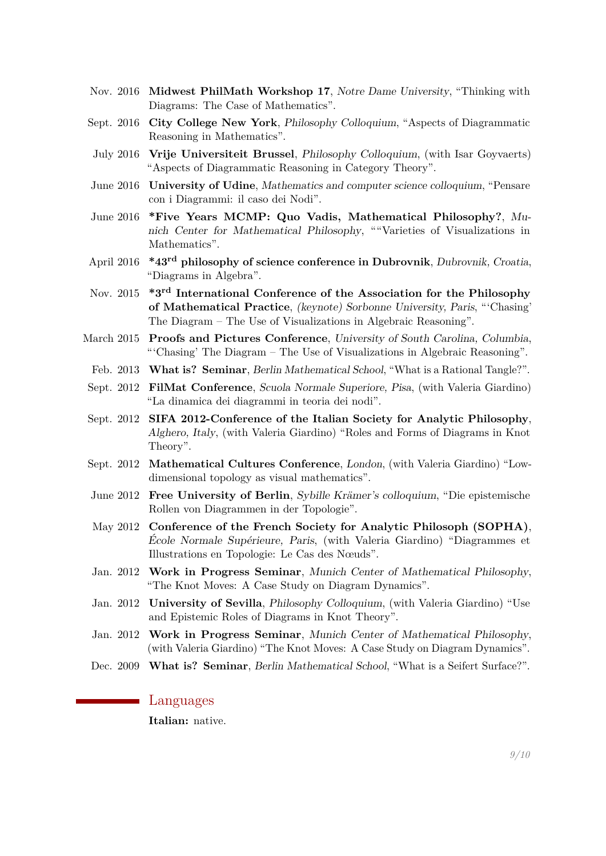- Nov. 2016 **Midwest PhilMath Workshop 17**, Notre Dame University, "Thinking with Diagrams: The Case of Mathematics".
- Sept. 2016 **City College New York**, Philosophy Colloquium, "Aspects of Diagrammatic Reasoning in Mathematics".
- July 2016 **Vrije Universiteit Brussel**, Philosophy Colloquium, (with Isar Goyvaerts) "Aspects of Diagrammatic Reasoning in Category Theory".
- June 2016 **University of Udine**, Mathematics and computer science colloquium, "Pensare con i Diagrammi: il caso dei Nodi".
- June 2016 **\*Five Years MCMP: Quo Vadis, Mathematical Philosophy?**, Munich Center for Mathematical Philosophy, ""Varieties of Visualizations in Mathematics".
- April 2016 **\*43rd philosophy of science conference in Dubrovnik**, Dubrovnik, Croatia, "Diagrams in Algebra".
- Nov. 2015 **\*3rd International Conference of the Association for the Philosophy of Mathematical Practice**, (keynote) Sorbonne University, Paris, "'Chasing' The Diagram – The Use of Visualizations in Algebraic Reasoning".
- March 2015 **Proofs and Pictures Conference**, University of South Carolina, Columbia, "'Chasing' The Diagram – The Use of Visualizations in Algebraic Reasoning".
	- Feb. 2013 **What is? Seminar**, Berlin Mathematical School, "What is a Rational Tangle?".
- Sept. 2012 **FilMat Conference**, Scuola Normale Superiore, Pisa, (with Valeria Giardino) "La dinamica dei diagrammi in teoria dei nodi".
- Sept. 2012 **SIFA 2012-Conference of the Italian Society for Analytic Philosophy**, Alghero, Italy, (with Valeria Giardino) "Roles and Forms of Diagrams in Knot Theory".
- Sept. 2012 **Mathematical Cultures Conference**, London, (with Valeria Giardino) "Lowdimensional topology as visual mathematics".
- June 2012 **Free University of Berlin**, Sybille Krämer's colloquium, "Die epistemische Rollen von Diagrammen in der Topologie".
- May 2012 **Conference of the French Society for Analytic Philosoph (SOPHA)**, École Normale Supérieure, Paris, (with Valeria Giardino) "Diagrammes et Illustrations en Topologie: Le Cas des Nœuds".
- Jan. 2012 **Work in Progress Seminar**, Munich Center of Mathematical Philosophy, "The Knot Moves: A Case Study on Diagram Dynamics".
- Jan. 2012 **University of Sevilla**, Philosophy Colloquium, (with Valeria Giardino) "Use and Epistemic Roles of Diagrams in Knot Theory".
- Jan. 2012 **Work in Progress Seminar**, Munich Center of Mathematical Philosophy, (with Valeria Giardino) "The Knot Moves: A Case Study on Diagram Dynamics".
- Dec. 2009 **What is? Seminar**, Berlin Mathematical School, "What is a Seifert Surface?".

## Languages

**Italian:** native.